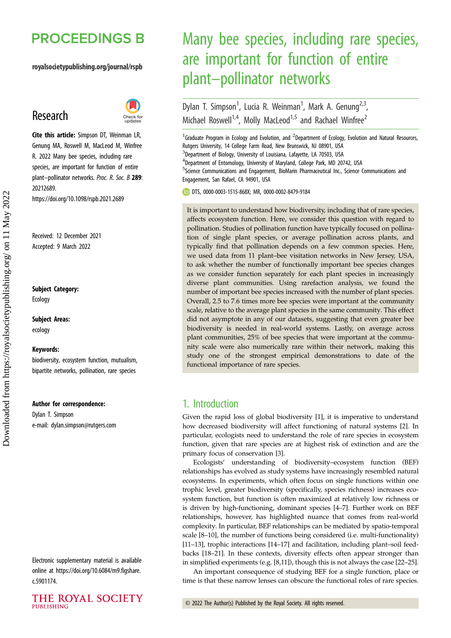## **PROCEEDINGS B**

#### royalsocietypublishing.org/journal/rspb

## Research



Cite this article: Simpson DT, Weinman LR, Genung MA, Roswell M, MacLeod M, Winfree R. 2022 Many bee species, including rare species, are important for function of entire plant-pollinator networks. Proc. R. Soc. B 289: 20212689. https://doi.org/10.1098/rspb.2021.2689

Received: 12 December 2021 Accepted: 9 March 2022

#### Subject Category:

Ecology

Subject Areas: ecology

## Keywords:

biodiversity, ecosystem function, mutualism, bipartite networks, pollination, rare species

#### Author for correspondence:

Dylan T. Simpson e-mail: [dylan.simpson@rutgers.com](mailto:dylan.simpson@rutgers.com)

Electronic supplementary material is available online at [https://doi.org/10.6084/m9.figshare.](https://doi.org/10.6084/m9.figshare.c.5901174) [c.5901174.](https://doi.org/10.6084/m9.figshare.c.5901174)



# Many bee species, including rare species, are important for function of entire plant–pollinator networks

Dylan T. Simpson<sup>1</sup>, Lucia R. Weinman<sup>1</sup>, Mark A. Genung<sup>2,3</sup>, Michael Roswell<sup>1,4</sup>, Molly MacLeod<sup>1,5</sup> and Rachael Winfree<sup>2</sup>

<sup>1</sup> Graduate Program in Ecology and Evolution, and <sup>2</sup> Department of Ecology, Evolution and Natural Resources, Rutgers University, 14 College Farm Road, New Brunswick, NJ 08901, USA <sup>3</sup>Department of Biology, University of Louisiana, Lafayette, LA 70503, USA 4 Department of Entomology, University of Maryland, College Park, MD 20742, USA 5 Science Communications and Engagement, BioMarin Pharmaceutical Inc., Science Communications and Engagement, San Rafael, CA 94901, USA

DTS, [0000-0003-1515-868X;](http://orcid.org/0000-0003-1515-868X) MR, [0000-0002-8479-9184](http://orcid.org/0000-0002-8479-9184)

It is important to understand how biodiversity, including that of rare species, affects ecosystem function. Here, we consider this question with regard to pollination. Studies of pollination function have typically focused on pollination of single plant species, or average pollination across plants, and typically find that pollination depends on a few common species. Here, we used data from 11 plant–bee visitation networks in New Jersey, USA, to ask whether the number of functionally important bee species changes as we consider function separately for each plant species in increasingly diverse plant communities. Using rarefaction analysis, we found the number of important bee species increased with the number of plant species. Overall, 2.5 to 7.6 times more bee species were important at the community scale, relative to the average plant species in the same community. This effect did not asymptote in any of our datasets, suggesting that even greater bee biodiversity is needed in real-world systems. Lastly, on average across plant communities, 25% of bee species that were important at the community scale were also numerically rare within their network, making this study one of the strongest empirical demonstrations to date of the functional importance of rare species.

## 1. Introduction

Given the rapid loss of global biodiversity [\[1\]](#page-6-0), it is imperative to understand how decreased biodiversity will affect functioning of natural systems [\[2](#page-6-0)]. In particular, ecologists need to understand the role of rare species in ecosystem function, given that rare species are at highest risk of extinction and are the primary focus of conservation [[3](#page-6-0)].

Ecologists' understanding of biodiversity–ecosystem function (BEF) relationships has evolved as study systems have increasingly resembled natural ecosystems. In experiments, which often focus on single functions within one trophic level, greater biodiversity (specifically, species richness) increases ecosystem function, but function is often maximized at relatively low richness or is driven by high-functioning, dominant species [\[4](#page-6-0)–[7\]](#page-6-0). Further work on BEF relationships, however, has highlighted nuance that comes from real-world complexity. In particular, BEF relationships can be mediated by spatio-temporal scale [\[8](#page-6-0)–[10](#page-6-0)], the number of functions being considered (i.e. multi-functionality) [[11](#page-6-0)–[13\]](#page-6-0), trophic interactions [[14](#page-6-0)–[17](#page-6-0)] and facilitation, including plant–soil feedbacks [[18](#page-6-0)–[21](#page-6-0)]. In these contexts, diversity effects often appear stronger than in simplified experiments (e.g. [\[8,11\]](#page-6-0)), though this is not always the case [\[22](#page-6-0)–[25\]](#page-6-0).

An important consequence of studying BEF for a single function, place or time is that these narrow lenses can obscure the functional roles of rare species.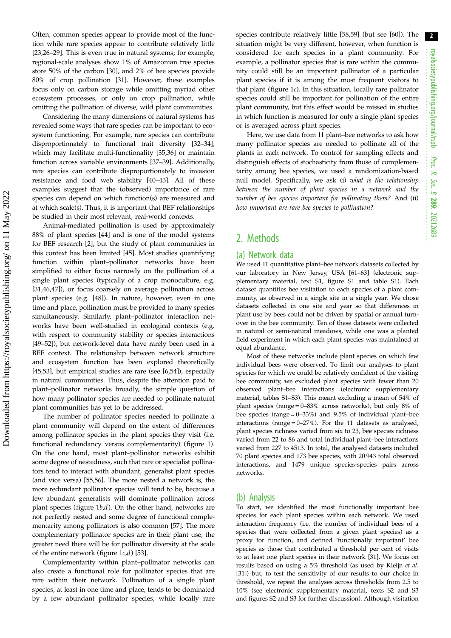Often, common species appear to provide most of the function while rare species appear to contribute relatively little [\[23](#page-6-0),[26](#page-6-0)–[29](#page-6-0)]. This is even true in natural systems; for example, regional-scale analyses show 1% of Amazonian tree species store 50% of the carbon [[30\]](#page-6-0), and 2% of bee species provide 80% of crop pollination [\[31](#page-7-0)]. However, these examples focus only on carbon storage while omitting myriad other ecosystem processes, or only on crop pollination, while omitting the pollination of diverse, wild plant communities.

Considering the many dimensions of natural systems has revealed some ways that rare species can be important to ecosystem functioning. For example, rare species can contribute disproportionately to functional trait diversity [[32](#page-7-0)–[34](#page-7-0)], which may facilitate multi-functionality [\[35](#page-7-0),[36\]](#page-7-0) or maintain function across variable environments [\[37](#page-7-0)–[39\]](#page-7-0). Additionally, rare species can contribute disproportionately to invasion resistance and food web stability [[40](#page-7-0)–[43](#page-7-0)]. All of these examples suggest that the (observed) importance of rare species can depend on which function(s) are measured and at which scale(s). Thus, it is important that BEF relationships be studied in their most relevant, real-world contexts.

Animal-mediated pollination is used by approximately 88% of plant species [\[44](#page-7-0)] and is one of the model systems for BEF research [\[2\]](#page-6-0), but the study of plant communities in this context has been limited [\[45\]](#page-7-0). Most studies quantifying function within plant–pollinator networks have been simplified to either focus narrowly on the pollination of a single plant species (typically of a crop monoculture, e.g. [\[31](#page-7-0),[46,47\]](#page-7-0)), or focus coarsely on average pollination across plant species (e.g. [\[48](#page-7-0)]). In nature, however, even in one time and place, pollination must be provided to many species simultaneously. Similarly, plant–pollinator interaction networks have been well-studied in ecological contexts (e.g. with respect to community stability or species interactions [\[49](#page-7-0)–[52\]](#page-7-0)), but network-level data have rarely been used in a BEF context. The relationship between network structure and ecosystem function has been explored theoretically [\[45](#page-7-0),[53\]](#page-7-0), but empirical studies are rare (see [[6](#page-6-0),[54\]](#page-7-0)), especially in natural communities. Thus, despite the attention paid to plant–pollinator networks broadly, the simple question of how many pollinator species are needed to pollinate natural plant communities has yet to be addressed.

The number of pollinator species needed to pollinate a plant community will depend on the extent of differences among pollinator species in the plant species they visit (i.e. functional redundancy versus complementarity) ([figure 1](#page-2-0)). On the one hand, most plant–pollinator networks exhibit some degree of nestedness, such that rare or specialist pollinators tend to interact with abundant, generalist plant species (and vice versa) [[55,56\]](#page-7-0). The more nested a network is, the more redundant pollinator species will tend to be, because a few abundant generalists will dominate pollination across plant species (figure  $1b,d$ ). On the other hand, networks are not perfectly nested and some degree of functional complementarity among pollinators is also common [\[57](#page-7-0)]. The more complementary pollinator species are in their plant use, the greater need there will be for pollinator diversity at the scale of the entire network (figure  $1c,d$ ) [\[53](#page-7-0)].

Complementarity within plant–pollinator networks can also create a functional role for pollinator species that are rare within their network. Pollination of a single plant species, at least in one time and place, tends to be dominated by a few abundant pollinator species, while locally rare species contribute relatively little [[58,59\]](#page-7-0) (but see [\[60](#page-7-0)]). The situation might be very different, however, when function is considered for each species in a plant community. For example, a pollinator species that is rare within the community could still be an important pollinator of a particular plant species if it is among the most frequent visitors to that plant ([figure 1](#page-2-0)c). In this situation, locally rare pollinator species could still be important for pollination of the entire plant community, but this effect would be missed in studies in which function is measured for only a single plant species or is averaged across plant species.

Here, we use data from 11 plant–bee networks to ask how many pollinator species are needed to pollinate all of the plants in each network. To control for sampling effects and distinguish effects of stochasticity from those of complementarity among bee species, we used a randomization-based null model. Specifically, we ask (i) what is the relationship between the number of plant species in a network and the number of bee species important for pollinating them? And (ii) how important are rare bee species to pollination?

## 2. Methods

#### (a) Network data

We used 11 quantitative plant–bee network datasets collected by our laboratory in New Jersey, USA [[61](#page-7-0)–[63\]](#page-7-0) (electronic supplementary material, text S1, figure S1 and table S1). Each dataset quantifies bee visitation to each species of a plant community, as observed in a single site in a single year. We chose datasets collected in one site and year so that differences in plant use by bees could not be driven by spatial or annual turnover in the bee community. Ten of these datasets were collected in natural or semi-natural meadows, while one was a planted field experiment in which each plant species was maintained at equal abundance.

Most of these networks include plant species on which few individual bees were observed. To limit our analyses to plant species for which we could be relatively confident of the visiting bee community, we excluded plant species with fewer than 20 observed plant–bee interactions (electronic supplementary material, tables S1–S3). This meant excluding a mean of 54% of plant species (range = 0–83% across networks), but only 8% of bee species (range  $= 0-33\%$ ) and 9.5% of individual plant–bee interactions (range  $= 0-27\%$ ). For the 11 datasets as analysed, plant species richness varied from six to 23, bee species richness varied from 22 to 86 and total individual plant–bee interactions varied from 227 to 4513. In total, the analysed datasets included 70 plant species and 173 bee species, with 20 943 total observed interactions, and 1479 unique species-species pairs across networks.

#### (b) Analysis

To start, we identified the most functionally important bee species for each plant species within each network. We used interaction frequency (i.e. the number of individual bees of a species that were collected from a given plant species) as a proxy for function, and defined 'functionally important' bee species as those that contributed a threshold per cent of visits to at least one plant species in their network [[31](#page-7-0)]. We focus on results based on using a 5% threshold (as used by Kleijn et al. [[31](#page-7-0)]) but, to test the sensitivity of our results to our choice in threshold, we repeat the analyses across thresholds from 2.5 to 10% (see electronic supplementary material, texts S2 and S3 and figures S2 and S3 for further discussion). Although visitation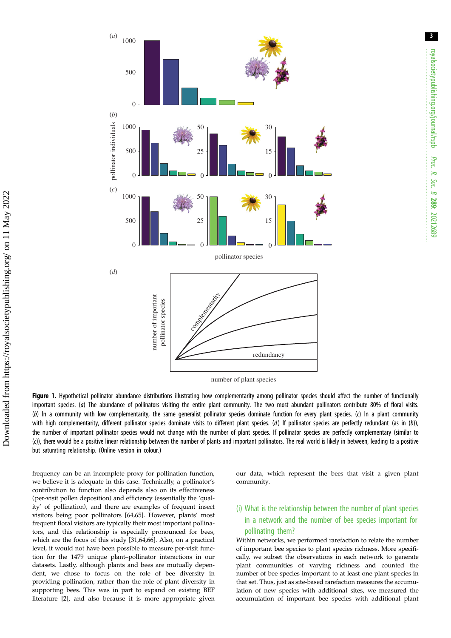<span id="page-2-0"></span>

number of plant species

Figure 1. Hypothetical pollinator abundance distributions illustrating how complementarity among pollinator species should affect the number of functionally important species. (a) The abundance of pollinators visiting the entire plant community. The two most abundant pollinators contribute 80% of floral visits. (b) In a community with low complementarity, the same generalist pollinator species dominate function for every plant species. (c) In a plant community with high complementarity, different pollinator species dominate visits to different plant species. (d) If pollinator species are perfectly redundant (as in (b)), the number of important pollinator species would not change with the number of plant species. If pollinator species are perfectly complementary (similar to (c)), there would be a positive linear relationship between the number of plants and important pollinators. The real world is likely in between, leading to a positive but saturating relationship. (Online version in colour.)

frequency can be an incomplete proxy for pollination function, we believe it is adequate in this case. Technically, a pollinator's contribution to function also depends also on its effectiveness (per-visit pollen deposition) and efficiency (essentially the 'quality' of pollination), and there are examples of frequent insect visitors being poor pollinators [[64,65\]](#page-7-0). However, plants' most frequent floral visitors are typically their most important pollinators, and this relationship is especially pronounced for bees, which are the focus of this study [[31](#page-7-0),[64,66\]](#page-7-0). Also, on a practical level, it would not have been possible to measure per-visit function for the 1479 unique plant–pollinator interactions in our datasets. Lastly, although plants and bees are mutually dependent, we chose to focus on the role of bee diversity in providing pollination, rather than the role of plant diversity in supporting bees. This was in part to expand on existing BEF literature [[2\]](#page-6-0), and also because it is more appropriate given our data, which represent the bees that visit a given plant community.

## (i) What is the relationship between the number of plant species in a network and the number of bee species important for pollinating them?

Within networks, we performed rarefaction to relate the number of important bee species to plant species richness. More specifically, we subset the observations in each network to generate plant communities of varying richness and counted the number of bee species important to at least one plant species in that set. Thus, just as site-based rarefaction measures the accumulation of new species with additional sites, we measured the accumulation of important bee species with additional plant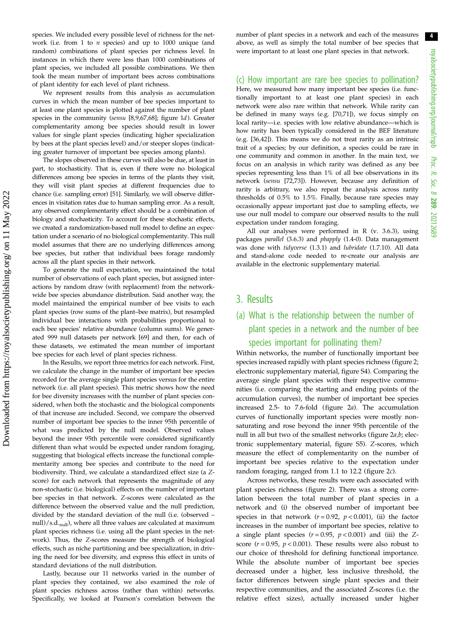species. We included every possible level of richness for the network (i.e. from  $1$  to  $n$  species) and up to  $1000$  unique (and random) combinations of plant species per richness level. In instances in which there were less than 1000 combinations of plant species, we included all possible combinations. We then took the mean number of important bees across combinations of plant identity for each level of plant richness.

We represent results from this analysis as accumulation curves in which the mean number of bee species important to at least one plant species is plotted against the number of plant species in the community (sensu [[8,9](#page-6-0)[,67,68](#page-7-0)]; [figure 1](#page-2-0)d). Greater complementarity among bee species should result in lower values for single plant species (indicating higher specialization by bees at the plant species level) and/or steeper slopes (indicating greater turnover of important bee species among plants).

The slopes observed in these curves will also be due, at least in part, to stochasticity. That is, even if there were no biological differences among bee species in terms of the plants they visit, they will visit plant species at different frequencies due to chance (i.e. sampling error) [\[51\]](#page-7-0). Similarly, we will observe differences in visitation rates due to human sampling error. As a result, any observed complementarity effect should be a combination of biology and stochasticity. To account for these stochastic effects, we created a randomization-based null model to define an expectation under a scenario of no biological complementarity. This null model assumes that there are no underlying differences among bee species, but rather that individual bees forage randomly across all the plant species in their network.

To generate the null expectation, we maintained the total number of observations of each plant species, but assigned interactions by random draw (with replacement) from the networkwide bee species abundance distribution. Said another way, the model maintained the empirical number of bee visits to each plant species (row sums of the plant–bee matrix), but resampled individual bee interactions with probabilities proportional to each bee species' relative abundance (column sums). We generated 999 null datasets per network [[69](#page-7-0)] and then, for each of these datasets, we estimated the mean number of important bee species for each level of plant species richness.

In the Results, we report three metrics for each network. First, we calculate the change in the number of important bee species recorded for the average single plant species versus for the entire network (i.e. all plant species). This metric shows how the need for bee diversity increases with the number of plant species considered, when both the stochastic and the biological components of that increase are included. Second, we compare the observed number of important bee species to the inner 95th percentile of what was predicted by the null model. Observed values beyond the inner 95th percentile were considered significantly different than what would be expected under random foraging, suggesting that biological effects increase the functional complementarity among bee species and contribute to the need for biodiversity. Third, we calculate a standardized effect size (a Zscore) for each network that represents the magnitude of any non-stochastic (i.e. biological) effects on the number of important bee species in that network. Z-scores were calculated as the difference between the observed value and the null prediction, divided by the standard deviation of the null (i.e. (observed – null)/s.d.<sub>null</sub>), where all three values are calculated at maximum plant species richness (i.e. using all the plant species in the network). Thus, the Z-scores measure the strength of biological effects, such as niche partitioning and bee specialization, in driving the need for bee diversity, and express this effect in units of standard deviations of the null distribution.

Lastly, because our 11 networks varied in the number of plant species they contained, we also examined the role of plant species richness across (rather than within) networks. Specifically, we looked at Pearson's correlation between the

number of plant species in a network and each of the measures above, as well as simply the total number of bee species that were important to at least one plant species in that network.

#### (c) How important are rare bee species to pollination?

Here, we measured how many important bee species (i.e. functionally important to at least one plant species) in each network were also rare within that network. While rarity can be defined in many ways (e.g. [\[70,71](#page-7-0)]), we focus simply on local rarity—i.e. species with low relative abundance—which is how rarity has been typically considered in the BEF literature (e.g. [[36,42\]](#page-7-0)). This means we do not treat rarity as an intrinsic trait of a species; by our definition, a species could be rare in one community and common in another. In the main text, we focus on an analysis in which rarity was defined as any bee species representing less than 1% of all bee observations in its network (sensu [\[72,73](#page-7-0)]). However, because any definition of rarity is arbitrary, we also repeat the analysis across rarity thresholds of 0.5% to 1.5%. Finally, because rare species may occasionally appear important just due to sampling effects, we use our null model to compare our observed results to the null expectation under random foraging.

All our analyses were performed in R (v. 3.6.3), using packages parallel (3.6.3) and pbapply (1.4-0). Data management was done with tidyverse (1.3.1) and lubridate (1.7.10). All data and stand-alone code needed to re-create our analysis are available in the electronic supplementary material.

### 3. Results

## (a) What is the relationship between the number of plant species in a network and the number of bee species important for pollinating them?

Within networks, the number of functionally important bee species increased rapidly with plant species richness [\(figure 2](#page-4-0); electronic supplementary material, figure S4). Comparing the average single plant species with their respective communities (i.e. comparing the starting and ending points of the accumulation curves), the number of important bee species increased 2.5- to 7.6-fold ([figure 2](#page-4-0)a). The accumulation curves of functionally important species were mostly nonsaturating and rose beyond the inner 95th percentile of the null in all but two of the smallest networks (figure  $2a,b$ ; electronic supplementary material, figure S5). Z-scores, which measure the effect of complementarity on the number of important bee species relative to the expectation under random foraging, ranged from 1.1 to 12.2 [\(figure 2](#page-4-0)c).

Across networks, these results were each associated with plant species richness [\(figure 2\)](#page-4-0). There was a strong correlation between the total number of plant species in a network and (i) the observed number of important bee species in that network ( $r = 0.92$ ,  $p < 0.001$ ), (ii) the factor increases in the number of important bee species, relative to a single plant species  $(r = 0.95, p < 0.001)$  and (iii) the Zscore ( $r = 0.95$ ,  $p < 0.001$ ). These results were also robust to our choice of threshold for defining functional importance. While the absolute number of important bee species decreased under a higher, less inclusive threshold, the factor differences between single plant species and their respective communities, and the associated Z-scores (i.e. the relative effect sizes), actually increased under higher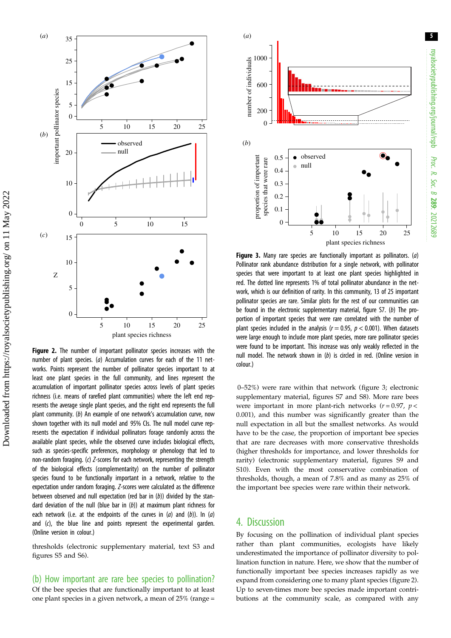<span id="page-4-0"></span>

Figure 2. The number of important pollinator species increases with the number of plant species. (a) Accumulation curves for each of the 11 networks. Points represent the number of pollinator species important to at least one plant species in the full community, and lines represent the accumulation of important pollinator species across levels of plant species richness (i.e. means of rarefied plant communities) where the left end represents the average single plant species, and the right end represents the full plant community. (b) An example of one network's accumulation curve, now shown together with its null model and 95% CIs. The null model curve represents the expectation if individual pollinators forage randomly across the available plant species, while the observed curve includes biological effects, such as species-specific preferences, morphology or phenology that led to non-random foraging. (c) Z-scores for each network, representing the strength of the biological effects (complementarity) on the number of pollinator species found to be functionally important in a network, relative to the expectation under random foraging. Z-scores were calculated as the difference between observed and null expectation (red bar in  $(b)$ ) divided by the standard deviation of the null (blue bar in  $(b)$ ) at maximum plant richness for each network (i.e. at the endpoints of the curves in  $(a)$  and  $(b)$ ). In  $(a)$ and (c), the blue line and points represent the experimental garden. (Online version in colour.)

thresholds (electronic supplementary material, text S3 and figures S5 and S6).

(b) How important are rare bee species to pollination? Of the bee species that are functionally important to at least one plant species in a given network, a mean of 25% (range =



**Figure 3.** Many rare species are functionally important as pollinators. (a) Pollinator rank abundance distribution for a single network, with pollinator species that were important to at least one plant species highlighted in red. The dotted line represents 1% of total pollinator abundance in the network, which is our definition of rarity. In this community, 13 of 25 important pollinator species are rare. Similar plots for the rest of our communities can be found in the electronic supplementary material, figure S7. (b) The proportion of important species that were rare correlated with the number of plant species included in the analysis ( $r = 0.95$ ,  $p < 0.001$ ). When datasets were large enough to include more plant species, more rare pollinator species were found to be important. This increase was only weakly reflected in the null model. The network shown in (b) is circled in red. (Online version in colour.)

0–52%) were rare within that network (figure 3; electronic supplementary material, figures S7 and S8). More rare bees were important in more plant-rich networks  $(r = 0.97, p <$ 0.001), and this number was significantly greater than the null expectation in all but the smallest networks. As would have to be the case, the proportion of important bee species that are rare decreases with more conservative thresholds (higher thresholds for importance, and lower thresholds for rarity) (electronic supplementary material, figures S9 and S10). Even with the most conservative combination of thresholds, though, a mean of 7.8% and as many as 25% of the important bee species were rare within their network.

## 4. Discussion

By focusing on the pollination of individual plant species rather than plant communities, ecologists have likely underestimated the importance of pollinator diversity to pollination function in nature. Here, we show that the number of functionally important bee species increases rapidly as we expand from considering one to many plant species (figure 2). Up to seven-times more bee species made important contributions at the community scale, as compared with any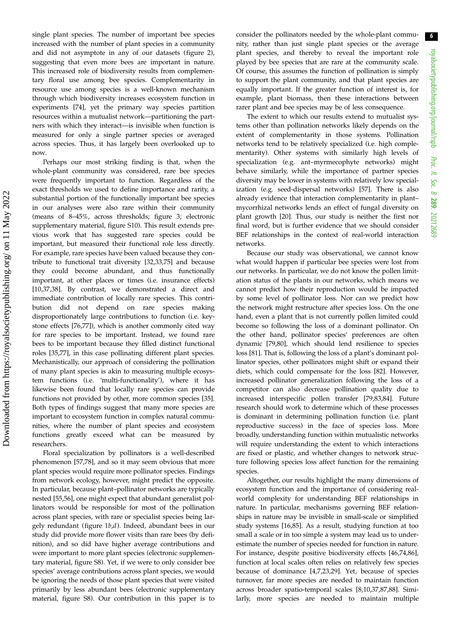single plant species. The number of important bee species increased with the number of plant species in a community and did not asymptote in any of our datasets [\(figure 2](#page-4-0)), suggesting that even more bees are important in nature. This increased role of biodiversity results from complementary floral use among bee species. Complementarity in resource use among species is a well-known mechanism through which biodiversity increases ecosystem function in experiments [\[74](#page-7-0)], yet the primary way species partition resources within a mutualist network—partitioning the partners with which they interact—is invisible when function is measured for only a single partner species or averaged across species. Thus, it has largely been overlooked up to now.

Perhaps our most striking finding is that, when the whole-plant community was considered, rare bee species were frequently important to function. Regardless of the exact thresholds we used to define importance and rarity, a substantial portion of the functionally important bee species in our analyses were also rare within their community (means of 8–45%, across thresholds; [figure 3;](#page-4-0) electronic supplementary material, figure S10). This result extends previous work that has suggested rare species could be important, but measured their functional role less directly. For example, rare species have been valued because they contribute to functional trait diversity [[32,33](#page-7-0)[,75](#page-8-0)] and because they could become abundant, and thus functionally important, at other places or times (i.e. insurance effects) [\[10](#page-6-0),[37,38\]](#page-7-0). By contrast, we demonstrated a direct and immediate contribution of locally rare species. This contribution did not depend on rare species making disproportionately large contributions to function (i.e. keystone effects [\[76](#page-8-0),[77\]](#page-8-0)), which is another commonly cited way for rare species to be important. Instead, we found rare bees to be important because they filled distinct functional roles [[35,](#page-7-0)[77\]](#page-8-0), in this case pollinating different plant species. Mechanistically, our approach of considering the pollination of many plant species is akin to measuring multiple ecosystem functions (i.e. 'multi-functionality'), where it has likewise been found that locally rare species can provide functions not provided by other, more common species [\[35](#page-7-0)]. Both types of findings suggest that many more species are important to ecosystem function in complex natural communities, where the number of plant species and ecosystem functions greatly exceed what can be measured by researchers.

Floral specialization by pollinators is a well-described phenomenon [[57](#page-7-0),[78\]](#page-8-0), and so it may seem obvious that more plant species would require more pollinator species. Findings from network ecology, however, might predict the opposite. In particular, because plant–pollinator networks are typically nested [\[55,56](#page-7-0)], one might expect that abundant generalist pollinators would be responsible for most of the pollination across plant species, with rare or specialist species being largely redundant ([figure 1](#page-2-0)b,d). Indeed, abundant bees in our study did provide more flower visits than rare bees (by definition), and so did have higher average contributions and were important to more plant species (electronic supplementary material, figure S8). Yet, if we were to only consider bee species' average contributions across plant species, we would be ignoring the needs of those plant species that were visited primarily by less abundant bees (electronic supplementary material, figure S8). Our contribution in this paper is to

consider the pollinators needed by the whole-plant community, rather than just single plant species or the average plant species, and thereby to reveal the important role played by bee species that are rare at the community scale. Of course, this assumes the function of pollination is simply to support the plant community, and that plant species are equally important. If the greater function of interest is, for example, plant biomass, then these interactions between rarer plant and bee species may be of less consequence.

The extent to which our results extend to mutualist systems other than pollination networks likely depends on the extent of complementarity in those systems. Pollination networks tend to be relatively specialized (i.e. high complementarity). Other systems with similarly high levels of specialization (e.g. ant–myrmecophyte networks) might behave similarly, while the importance of partner species diversity may be lower in systems with relatively low specialization (e.g. seed-dispersal networks) [\[57](#page-7-0)]. There is also already evidence that interaction complementarity in plant– mycorrhizal networks lends an effect of fungal diversity on plant growth [\[20](#page-6-0)]. Thus, our study is neither the first nor final word, but is further evidence that we should consider BEF relationships in the context of real-world interaction networks.

Because our study was observational, we cannot know what would happen if particular bee species were lost from our networks. In particular, we do not know the pollen limitation status of the plants in our networks, which means we cannot predict how their reproduction would be impacted by some level of pollinator loss. Nor can we predict how the network might restructure after species loss. On the one hand, even a plant that is not currently pollen limited could become so following the loss of a dominant pollinator. On the other hand, pollinator species' preferences are often dynamic [[79](#page-8-0),[80\]](#page-8-0), which should lend resilience to species loss [[81\]](#page-8-0). That is, following the loss of a plant's dominant pollinator species, other pollinators might shift or expand their diets, which could compensate for the loss [[82\]](#page-8-0). However, increased pollinator generalization following the loss of a competitor can also decrease pollination quality due to increased interspecific pollen transfer [[79,83,84](#page-8-0)]. Future research should work to determine which of these processes is dominant in determining pollination function (i.e. plant reproductive success) in the face of species loss. More broadly, understanding function within mutualistic networks will require understanding the extent to which interactions are fixed or plastic, and whether changes to network structure following species loss affect function for the remaining species.

Altogether, our results highlight the many dimensions of ecosystem function and the importance of considering realworld complexity for understanding BEF relationships in nature. In particular, mechanisms governing BEF relationships in nature may be invisible in small-scale or simplified study systems [[16,](#page-6-0)[85\]](#page-8-0). As a result, studying function at too small a scale or in too simple a system may lead us to underestimate the number of species needed for function in nature. For instance, despite positive biodiversity effects [\[46,74](#page-7-0),[86\]](#page-8-0), function at local scales often relies on relatively few species because of dominance [\[4,7](#page-6-0),[23,29\]](#page-6-0). Yet, because of species turnover, far more species are needed to maintain function across broader spatio-temporal scales [[8](#page-6-0),[10,](#page-6-0)[37](#page-7-0)[,87,88](#page-8-0)]. Similarly, more species are needed to maintain multiple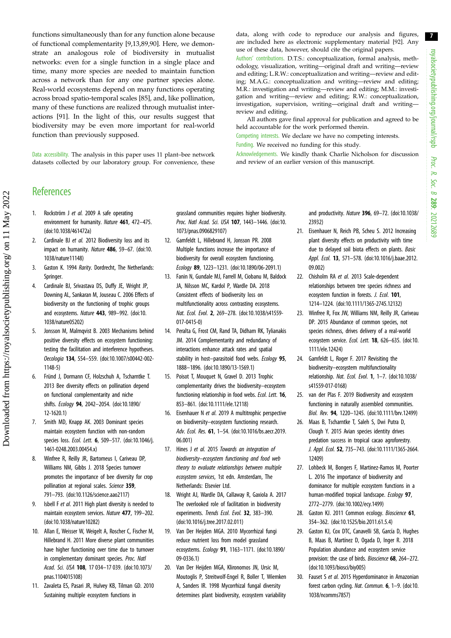<span id="page-6-0"></span>functions simultaneously than for any function alone because of functional complementarity [9,13[,89](#page-8-0),[90\]](#page-8-0). Here, we demonstrate an analogous role of biodiversity in mutualist networks: even for a single function in a single place and time, many more species are needed to maintain function across a network than for any one partner species alone. Real-world ecosystems depend on many functions operating across broad spatio-temporal scales [\[85](#page-8-0)], and, like pollination, many of these functions are realized through mutualist interactions [[91\]](#page-8-0). In the light of this, our results suggest that biodiversity may be even more important for real-world function than previously supposed.

Data accessibility. The analysis in this paper uses 11 plant–bee network datasets collected by our laboratory group. For convenience, these data, along with code to reproduce our analysis and figures, are included here as electronic supplementary material [\[92](#page-8-0)]. Any use of these data, however, should cite the original papers.

Authors' contributions. D.T.S.: conceptualization, formal analysis, methodology, visualization, writing—original draft and writing—review and editing; L.R.W.: conceptualization and writing—review and editing; M.A.G.: conceptualization and writing—review and editing; M.R.: investigation and writing—review and editing; M.M.: investigation and writing—review and editing; R.W.: conceptualization, investigation, supervision, writing—original draft and writing review and editing.

All authors gave final approval for publication and agreed to be held accountable for the work performed therein.

Competing interests. We declare we have no competing interests.

Funding. We received no funding for this study.

Acknowledgements. We kindly thank Charlie Nicholson for discussion and review of an earlier version of this manuscript.

## **References**

- 1. Rockström J et al. 2009 A safe operating environment for humanity. Nature 461, 472–475. [\(doi:10.1038/461472a](http://dx.doi.org/10.1038/461472a))
- 2. Cardinale BJ et al. 2012 Biodiversity loss and its impact on humanity. Nature 486, 59-67. [\(doi:10.](http://dx.doi.org/10.1038/nature11148) [1038/nature11148](http://dx.doi.org/10.1038/nature11148))
- 3. Gaston K. 1994 Rarity. Dordrecht, The Netherlands: Springer.
- 4. Cardinale BJ, Srivastava DS, Duffy JE, Wright JP, Downing AL, Sankaran M, Jouseau C. 2006 Effects of biodiversity on the functioning of trophic groups and ecosystems. Nature 443, 989–992. ([doi:10.](http://dx.doi.org/10.1038/nature05202) [1038/nature05202](http://dx.doi.org/10.1038/nature05202))
- 5. Jonsson M, Malmqvist B. 2003 Mechanisms behind positive diversity effects on ecosystem functioning: testing the facilitation and interference hypotheses. Oecologia 134, 554–559. [\(doi:10.1007/s00442-002-](http://dx.doi.org/10.1007/s00442-002-1148-5) [1148-5](http://dx.doi.org/10.1007/s00442-002-1148-5))
- 6. Fründ J, Dormann CF, Holzschuh A, Tscharntke T. 2013 Bee diversity effects on pollination depend on functional complementarity and niche shifts. Ecology 94, 2042–2054. ([doi:10.1890/](http://dx.doi.org/10.1890/12-1620.1) [12-1620.1\)](http://dx.doi.org/10.1890/12-1620.1)
- 7. Smith MD, Knapp AK. 2003 Dominant species maintain ecosystem function with non-random species loss. Ecol. Lett. 6, 509-517. [\(doi:10.1046/j.](http://dx.doi.org/10.1046/j.1461-0248.2003.00454.x) [1461-0248.2003.00454.x\)](http://dx.doi.org/10.1046/j.1461-0248.2003.00454.x)
- 8. Winfree R, Reilly JR, Bartomeus I, Cariveau DP, Williams NM, Gibbs J. 2018 Species turnover promotes the importance of bee diversity for crop pollination at regional scales. Science 359, 791–793. ([doi:10.1126/science.aao2117\)](http://dx.doi.org/10.1126/science.aao2117)
- Isbell F et al. 2011 High plant diversity is needed to maintain ecosystem services. Nature 477, 199–202. [\(doi:10.1038/nature10282](http://dx.doi.org/10.1038/nature10282))
- 10. Allan E, Weisser W, Weigelt A, Roscher C, Fischer M, Hillebrand H. 2011 More diverse plant communities have higher functioning over time due to turnover in complementary dominant species. Proc. Natl Acad. Sci. USA 108, 17 034–17 039. ([doi:10.1073/](http://dx.doi.org/10.1073/pnas.1104015108) [pnas.1104015108](http://dx.doi.org/10.1073/pnas.1104015108))
- 11. Zavaleta ES, Pasari JR, Hulvey KB, Tilman GD. 2010 Sustaining multiple ecosystem functions in

grassland communities requires higher biodiversity. Proc. Natl Acad. Sci. USA 107, 1443–1446. [\(doi:10.](http://dx.doi.org/10.1073/pnas.0906829107) [1073/pnas.0906829107](http://dx.doi.org/10.1073/pnas.0906829107))

- 12. Gamfeldt L, Hillebrand H, Jonsson PR. 2008 Multiple functions increase the importance of biodiversity for overall ecosystem functioning. Ecology 89, 1223–1231. ([doi:10.1890/06-2091.1\)](http://dx.doi.org/10.1890/06-2091.1)
- 13. Fanin N, Gundale MJ, Farrell M, Ciobanu M, Baldock JA, Nilsson MC, Kardol P, Wardle DA. 2018 Consistent effects of biodiversity loss on multifunctionality across contrasting ecosystems. Nat. Ecol. Evol. 2, 269–278. ([doi:10.1038/s41559-](http://dx.doi.org/10.1038/s41559-017-0415-0) [017-0415-0\)](http://dx.doi.org/10.1038/s41559-017-0415-0)
- 14. Peralta G, Frost CM, Rand TA, Didham RK, Tylianakis JM. 2014 Complementarity and redundancy of interactions enhance attack rates and spatial stability in host-parasitoid food webs. Ecology 95, 1888–1896. [\(doi:10.1890/13-1569.1\)](http://dx.doi.org/10.1890/13-1569.1)
- 15. Poisot T, Mouquet N, Gravel D. 2013 Trophic complementarity drives the biodiversity–ecosystem functioning relationship in food webs. Ecol. Lett. 16, 853–861. ([doi:10.1111/ele.12118\)](http://dx.doi.org/10.1111/ele.12118)
- 16. Eisenhauer N et al. 2019 A multitrophic perspective on biodiversity–ecosystem functioning research. Adv. Ecol. Res. 61, 1–54. ([doi:10.1016/bs.aecr.2019.](http://dx.doi.org/10.1016/bs.aecr.2019.06.001) [06.001](http://dx.doi.org/10.1016/bs.aecr.2019.06.001))
- 17. Hines J et al. 2015 Towards an integration of biodiversity–ecosystem functioning and food web theory to evaluate relationships between multiple ecosystem services, 1st edn. Amsterdam, The Netherlands: Elsevier Ltd.
- 18. Wright AJ, Wardle DA, Callaway R, Gaxiola A. 2017 The overlooked role of facilitation in biodiversity experiments. Trends Ecol. Evol. 32, 383-390. [\(doi:10.1016/j.tree.2017.02.011](http://dx.doi.org/10.1016/j.tree.2017.02.011))
- 19. Van Der Heijden MGA. 2010 Mycorrhizal fungi reduce nutrient loss from model grassland ecosystems. Ecology 91, 1163–1171. ([doi:10.1890/](http://dx.doi.org/10.1890/09-0336.1) [09-0336.1\)](http://dx.doi.org/10.1890/09-0336.1)
- 20. Van Der Heijden MGA, Klironomos JN, Ursic M, Moutoglis P, Streitwolf-Engel R, Boller T, Wiemken A, Sanders IR. 1998 Mycorrhizal fungal diversity determines plant biodiversity, ecosystem variability

and productivity. Nature 396, 69–72. [\(doi:10.1038/](http://dx.doi.org/10.1038/23932) [23932\)](http://dx.doi.org/10.1038/23932)

- 21. Eisenhauer N, Reich PB, Scheu S. 2012 Increasing plant diversity effects on productivity with time due to delayed soil biota effects on plants. Basic Appl. Ecol. 13, 571-578. [\(doi:10.1016/j.baae.2012.](http://dx.doi.org/10.1016/j.baae.2012.09.002) [09.002](http://dx.doi.org/10.1016/j.baae.2012.09.002))
- 22. Chisholm RA et al. 2013 Scale-dependent relationships between tree species richness and ecosystem function in forests. J. Ecol. 101, 1214–1224. [\(doi:10.1111/1365-2745.12132\)](http://dx.doi.org/10.1111/1365-2745.12132)
- 23. Winfree R, Fox JW, Williams NM, Reilly JR, Cariveau DP. 2015 Abundance of common species, not species richness, drives delivery of a real-world ecosystem service. Ecol. Lett. 18, 626–635. [\(doi:10.](http://dx.doi.org/10.1111/ele.12424) [1111/ele.12424](http://dx.doi.org/10.1111/ele.12424))
- 24. Gamfeldt L, Roger F. 2017 Revisiting the biodiversity–ecosystem multifunctionality relationship. Nat. Ecol. Evol. 1, 1–7. ([doi:10.1038/](http://dx.doi.org/10.1038/s41559-017-0168) [s41559-017-0168\)](http://dx.doi.org/10.1038/s41559-017-0168)
- 25. van der Plas F. 2019 Biodiversity and ecosystem functioning in naturally assembled communities. Biol. Rev. 94, 1220–1245. [\(doi:10.1111/brv.12499](http://dx.doi.org/10.1111/brv.12499))
- 26. Maas B, Tscharntke T, Saleh S, Dwi Putra D, Clough Y. 2015 Avian species identity drives predation success in tropical cacao agroforestry. J. Appl. Ecol. 52, 735–743. [\(doi:10.1111/1365-2664.](http://dx.doi.org/10.1111/1365-2664.12409) [12409\)](http://dx.doi.org/10.1111/1365-2664.12409)
- 27. Lohbeck M, Bongers F, Martinez-Ramos M, Poorter L. 2016 The importance of biodiversity and dominance for multiple ecosystem functions in a human-modified tropical landscape. Ecology 97, 2772–2779. [\(doi:10.1002/ecy.1499\)](http://dx.doi.org/10.1002/ecy.1499)
- 28. Gaston KJ. 2011 Common ecology. Bioscience 61, 354–362. [\(doi:10.1525/bio.2011.61.5.4](http://dx.doi.org/10.1525/bio.2011.61.5.4))
- 29. Gaston KJ, Cox DTC, Canavelli SB, García D, Hughes B, Maas B, Martínez D, Ogada D, Inger R. 2018 Population abundance and ecosystem service provision: the case of birds. Bioscience 68, 264-272. ([doi:10.1093/biosci/biy005\)](http://dx.doi.org/10.1093/biosci/biy005)
- 30. Fauset S et al. 2015 Hyperdominance in Amazonian forest carbon cycling. Nat. Commun. 6, 1–9. [\(doi:10.](http://dx.doi.org/10.1038/ncomms7857) [1038/ncomms7857](http://dx.doi.org/10.1038/ncomms7857))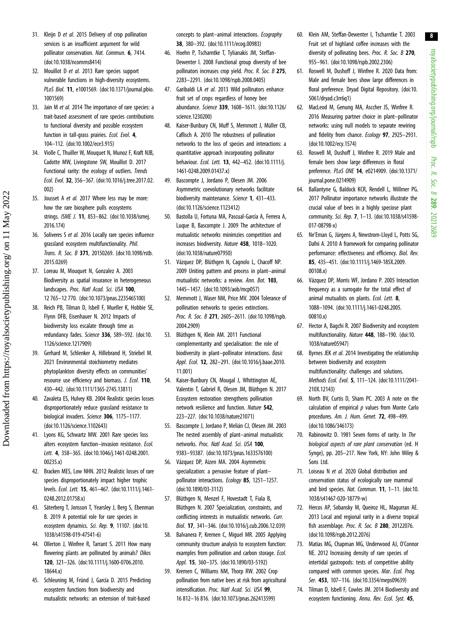- <span id="page-7-0"></span>31. Kleijn D et al. 2015 Delivery of crop pollination services is an insufficient argument for wild pollinator conservation. Nat. Commun. 6, 7414. [\(doi:10.1038/ncomms8414\)](http://dx.doi.org/10.1038/ncomms8414)
- 32. Mouillot D et al. 2013 Rare species support vulnerable functions in high-diversity ecosystems. PLoS Biol. 11, e1001569. ([doi:10.1371/journal.pbio.](http://dx.doi.org/10.1371/journal.pbio.1001569) [1001569\)](http://dx.doi.org/10.1371/journal.pbio.1001569)
- 33. Jain M et al. 2014 The importance of rare species: a trait-based assessment of rare species contributions to functional diversity and possible ecosystem function in tall-grass prairies. Ecol. Evol. 4, 104–112. ([doi:10.1002/ece3.915](http://dx.doi.org/10.1002/ece3.915))
- 34. Violle C, Thuiller W, Mouquet N, Munoz F, Kraft NJB, Cadotte MW, Livingstone SW, Mouillot D. 2017 Functional rarity: the ecology of outliers. Trends Ecol. Evol. 32, 356–367. [\(doi:10.1016/j.tree.2017.02.](http://dx.doi.org/10.1016/j.tree.2017.02.002) [002](http://dx.doi.org/10.1016/j.tree.2017.02.002))
- 35. Jousset A et al. 2017 Where less may be more: how the rare biosphere pulls ecosystems strings. ISME J. 11, 853–862. ([doi:10.1038/ismej.](http://dx.doi.org/10.1038/ismej.2016.174) [2016.174](http://dx.doi.org/10.1038/ismej.2016.174))
- 36. Soliveres S et al. 2016 Locally rare species influence grassland ecosystem multifunctionality. Phil. Trans. R. Soc. B 371, 20150269. [\(doi:10.1098/rstb.](http://dx.doi.org/10.1098/rstb.2015.0269) [2015.0269\)](http://dx.doi.org/10.1098/rstb.2015.0269)
- 37. Loreau M, Mouquet N, Gonzalez A. 2003 Biodiversity as spatial insurance in heterogeneous landscapes. Proc. Natl Acad. Sci. USA 100. 12 765–12 770. ([doi:10.1073/pnas.2235465100\)](http://dx.doi.org/10.1073/pnas.2235465100)
- 38. Reich PB, Tilman D, Isbell F, Mueller K, Hobbie SE, Flynn DFB, Eisenhauer N. 2012 Impacts of biodiversity loss escalate through time as redundancy fades. Science 336, 589-592. ([doi:10.](http://dx.doi.org/10.1126/science.1217909) [1126/science.1217909\)](http://dx.doi.org/10.1126/science.1217909)
- 39. Gerhard M, Schlenker A, Hillebrand H, Striebel M. 2021 Environmental stoichiometry mediates phytoplankton diversity effects on communities' resource use efficiency and biomass. J. Ecol. 110, 430–442. ([doi:10.1111/1365-2745.13811](http://dx.doi.org/10.1111/1365-2745.13811))
- 40. Zavaleta ES, Hulvey KB. 2004 Realistic species losses disproportionately reduce grassland resistance to biological invaders. Science 306, 1175-1177. [\(doi:10.1126/science.1102643\)](http://dx.doi.org/10.1126/science.1102643)
- 41. Lyons KG, Schwartz MW. 2001 Rare species loss alters ecosystem function–invasion resistance. Ecol. Lett. 4, 358–365. [\(doi:10.1046/j.1461-0248.2001.](http://dx.doi.org/10.1046/j.1461-0248.2001.00235.x) [00235.x\)](http://dx.doi.org/10.1046/j.1461-0248.2001.00235.x)
- 42. Bracken MES, Low NHN. 2012 Realistic losses of rare species disproportionately impact higher trophic levels. Ecol. Lett. 15, 461–467. [\(doi:10.1111/j.1461-](http://dx.doi.org/10.1111/j.1461-0248.2012.01758.x) [0248.2012.01758.x](http://dx.doi.org/10.1111/j.1461-0248.2012.01758.x))
- 43. Säterberg T, Jonsson T, Yearsley J, Berg S, Ebenman B. 2019 A potential role for rare species in ecosystem dynamics. Sci. Rep. 9, 11107. ([doi:10.](http://dx.doi.org/10.1038/s41598-019-47541-6) [1038/s41598-019-47541-6](http://dx.doi.org/10.1038/s41598-019-47541-6))
- 44. Ollerton J, Winfree R, Tarrant S. 2011 How many flowering plants are pollinated by animals? Oikos 120, 321–326. ([doi:10.1111/j.1600-0706.2010.](http://dx.doi.org/10.1111/j.1600-0706.2010.18644.x) 18644 y)
- 45. Schleuning M, Fründ J, García D. 2015 Predicting ecosystem functions from biodiversity and mutualistic networks: an extension of trait-based

concepts to plant–animal interactions. Ecography 38, 380–392. ([doi:10.1111/ecog.00983\)](http://dx.doi.org/10.1111/ecog.00983)

- 46. Hoehn P, Tscharntke T, Tylianakis JM, Steffan-Dewenter I. 2008 Functional group diversity of bee pollinators increases crop yield. Proc. R. Soc. B 275, 2283–2291. [\(doi:10.1098/rspb.2008.0405](http://dx.doi.org/10.1098/rspb.2008.0405))
- 47. Garibaldi LA et al. 2013 Wild pollinators enhance fruit set of crops regardless of honey bee abundance. Science 339, 1608–1611. [\(doi:10.1126/](http://dx.doi.org/10.1126/science.1230200) [science.1230200\)](http://dx.doi.org/10.1126/science.1230200)
- 48. Kaiser-Bunbury CN, Muff S, Memmott J, Müller CB, Caflisch A. 2010 The robustness of pollination networks to the loss of species and interactions: a quantitative approach incorporating pollinator behaviour. Ecol. Lett. 13, 442–452. ([doi:10.1111/j.](http://dx.doi.org/10.1111/j.1461-0248.2009.01437.x) [1461-0248.2009.01437.x\)](http://dx.doi.org/10.1111/j.1461-0248.2009.01437.x)
- 49. Bascompte J, Jordano P, Olesen JM. 2006 Asymmetric coevolutionary networks facilitate biodiversity maintenance. Science 1, 431-433. [\(doi:10.1126/science.1123412](http://dx.doi.org/10.1126/science.1123412))
- 50. Bastolla U, Fortuna MA, Pascual-García A, Ferrera A, Luque B, Bascompte J. 2009 The architecture of mutualistic networks minimzies competition and increases biodiversity. Nature 458, 1018–1020. [\(doi:10.1038/nature07950](http://dx.doi.org/10.1038/nature07950))
- 51. Vázquez DP, Blüthgen N, Cagnolo L, Chacoff NP. 2009 Uniting pattern and process in plant–animal mutualistic networks: a review. Ann. Bot. 103. 1445–1457. [\(doi:10.1093/aob/mcp057](http://dx.doi.org/10.1093/aob/mcp057))
- 52. Memmott J, Waser NM, Price MV. 2004 Tolerance of pollination networks to species extinctions. Proc. R. Soc. B 271, 2605-2611. ([doi:10.1098/rspb.](http://dx.doi.org/10.1098/rspb.2004.2909) [2004.2909\)](http://dx.doi.org/10.1098/rspb.2004.2909)
- 53. Blüthgen N, Klein AM. 2011 Functional complementarity and specialisation: the role of biodiversity in plant–pollinator interactions. Basic Appl. Ecol. 12, 282–291. ([doi:10.1016/j.baae.2010.](http://dx.doi.org/10.1016/j.baae.2010.11.001) [11.001](http://dx.doi.org/10.1016/j.baae.2010.11.001))
- 54. Kaiser-Bunbury CN, Mougal J, Whittington AE, Valentin T, Gabriel R, Olesen JM, Blüthgen N. 2017 Ecosystem restoration strengthens pollination network resilience and function. Nature 542, 223–227. ([doi:10.1038/nature21071\)](http://dx.doi.org/10.1038/nature21071)
- 55. Bascompte J, Jordano P, Melián CJ, Olesen JM. 2003 The nested assembly of plant–animal mutualistic networks. Proc. Natl Acad. Sci. USA 100, 9383–93387. ([doi:10.1073/pnas.1633576100\)](http://dx.doi.org/10.1073/pnas.1633576100)
- 56. Vázquez DP, Aizen MA. 2004 Asymmetric specialization: a pervasive feature of plant– pollinator interactions. Ecology 85, 1251-1257. [\(doi:10.1890/03-3112](http://dx.doi.org/10.1890/03-3112))
- 57. Blüthgen N, Menzel F, Hovestadt T, Fiala B, Blüthgen N. 2007 Specialization, constraints, and conflicting interests in mutualistic networks. Curr. Biol. 17, 341–346. ([doi:10.1016/j.cub.2006.12.039\)](http://dx.doi.org/10.1016/j.cub.2006.12.039)
- 58. Balvanera P, Kremen C, Miguel MR. 2005 Applying community structure analysis to ecosystem function: examples from pollination and carbon storage. *Ecol.* Appl. 15, 360–375. [\(doi:10.1890/03-5192\)](http://dx.doi.org/10.1890/03-5192)
- 59. Kremen C, Williams NM, Thorp RW. 2002 Crop pollination from native bees at risk from agricultural intensification. Proc. Natl Acad. Sci. USA 99, 16 812–16 816. ([doi:10.1073/pnas.262413599](http://dx.doi.org/10.1073/pnas.262413599))
- 60. Klein AM, Steffan-Dewenter I, Tscharntke T. 2003 Fruit set of highland coffee increases with the diversity of pollinating bees. Proc. R. Soc. B 270, 955–961. [\(doi:10.1098/rspb.2002.2306](http://dx.doi.org/10.1098/rspb.2002.2306))
- 61. Roswell M, Dushoff J, Winfree R. 2020 Data from: Male and female bees show large differences in floral preference. Dryad Digital Repository. ([doi:10.](http://dx.doi.org/10.5061/dryad.c3rr6q1) [5061/dryad.c3rr6q1](http://dx.doi.org/10.5061/dryad.c3rr6q1))
- 62. MacLeod M, Genung MA, Asccher JS, Winfree R. 2016 Measuring partner choice in plant–pollinator networks: using null models to separate rewiring and fidelity from chance. Ecology 97, 2925-2931. ([doi:10.1002/ecy.1574](http://dx.doi.org/10.1002/ecy.1574))
- 63. Roswell M, Dushoff J, Winfree R. 2019 Male and female bees show large differences in floral preference. PLoS ONE 14, e0214909. [\(doi:10.1371/](http://dx.doi.org/10.1371/journal.pone.0214909) [journal.pone.0214909\)](http://dx.doi.org/10.1371/journal.pone.0214909)
- 64. Ballantyne G, Baldock KCR, Rendell L, Willmer PG. 2017 Pollinator importance networks illustrate the crucial value of bees in a highly speciose plant community. Sci. Rep. 7, 1–13. [\(doi:10.1038/s41598-](http://dx.doi.org/10.1038/s41598-017-08798-x) [017-08798-x\)](http://dx.doi.org/10.1038/s41598-017-08798-x)
- 65. Ne'Eman G, Jürgens A, Newstrom-Lloyd L, Potts SG, Dafni A. 2010 A framework for comparing pollinator performance: effectiveness and efficiency. Biol. Rev. 85, 435–451. ([doi:10.1111/j.1469-185X.2009.](http://dx.doi.org/10.1111/j.1469-185X.2009.00108.x) [00108.x](http://dx.doi.org/10.1111/j.1469-185X.2009.00108.x))
- 66. Vázquez DP, Morris WF, Jordano P. 2005 Interaction frequency as a surrogate for the total effect of animal mutualists on plants. Ecol. Lett. 8, 1088–1094. [\(doi:10.1111/j.1461-0248.2005.](http://dx.doi.org/10.1111/j.1461-0248.2005.00810.x) [00810.x](http://dx.doi.org/10.1111/j.1461-0248.2005.00810.x))
- 67. Hector A, Bagchi R. 2007 Biodiversity and ecosystem multifunctionality. Nature 448, 188–190. ([doi:10.](http://dx.doi.org/10.1038/nature05947) [1038/nature05947](http://dx.doi.org/10.1038/nature05947))
- 68. Byrnes JEK et al. 2014 Investigating the relationship between biodiversity and ecosystem multifunctionality: challenges and solutions. Methods Ecol. Evol. 5, 111–124. [\(doi:10.1111/2041-](http://dx.doi.org/10.1111/2041-210X.12143) [210X.12143\)](http://dx.doi.org/10.1111/2041-210X.12143)
- 69. North BV, Curtis D, Sham PC. 2003 A note on the calculation of empirical  $p$  values from Monte Carlo procedures. Am. J. Hum. Genet. 72, 498–499. ([doi:10.1086/346173\)](http://dx.doi.org/10.1086/346173)
- 70. Rabinowitz D. 1981 Seven forms of rarity. In The biological aspects of rare plant conservation (ed. H Synge), pp. 205–217. New York, NY: John Wiley & Sons Ltd.
- 71. Loiseau N et al. 2020 Global distribution and conservation status of ecologically rare mammal and bird species. Nat. Commun. 11, 1-11. [\(doi:10.](http://dx.doi.org/10.1038/s41467-020-18779-w) [1038/s41467-020-18779-w](http://dx.doi.org/10.1038/s41467-020-18779-w))
- 72. Hercos AP, Sobansky M, Queiroz HL, Magurran AE. 2013 Local and regional rarity in a diverse tropical fish assemblage. Proc. R. Soc. B 280, 20122076. ([doi:10.1098/rspb.2012.2076\)](http://dx.doi.org/10.1098/rspb.2012.2076)
- 73. Matias MG, Chapman MG, Underwood AJ, O'Connor NE. 2012 Increasing density of rare species of intertidal gastropods: tests of competitive ability compared with common species. Mar. Ecol. Prog. Ser. 453, 107-116. [\(doi:10.3354/meps09639](http://dx.doi.org/10.3354/meps09639))
- 74. Tilman D, Isbell F, Cowles JM. 2014 Biodiversity and ecosystem functioning. Annu. Rev. Ecol. Syst. 45,